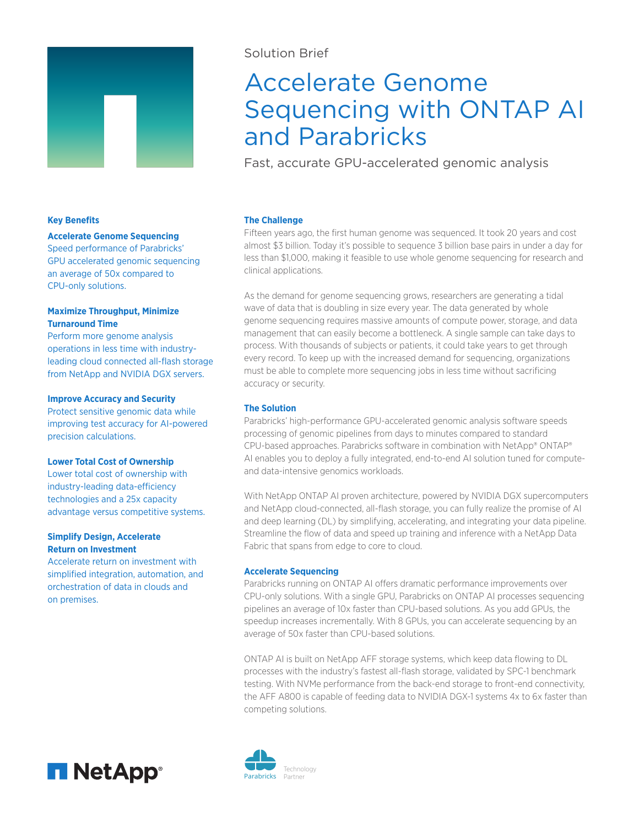

# Solution Brief

# Accelerate Genome Sequencing with ONTAP AI and Parabricks

Fast, accurate GPU-accelerated genomic analysis

# **Key Benefits**

## **Accelerate Genome Sequencing**

Speed performance of Parabricks' GPU accelerated genomic sequencing an average of 50x compared to CPU-only solutions.

# **Maximize Throughput, Minimize Turnaround Time**

Perform more genome analysis operations in less time with industryleading cloud connected all-flash storage from NetApp and NVIDIA DGX servers.

## **Improve Accuracy and Security**

Protect sensitive genomic data while improving test accuracy for AI-powered precision calculations.

# **Lower Total Cost of Ownership**

Lower total cost of ownership with industry-leading data-efficiency technologies and a 25x capacity advantage versus competitive systems.

# **Simplify Design, Accelerate Return on Investment**

Accelerate return on investment with simplified integration, automation, and orchestration of data in clouds and on premises.



Fifteen years ago, the first human genome was sequenced. It took 20 years and cost almost \$3 billion. Today it's possible to sequence 3 billion base pairs in under a day for less than \$1,000, making it feasible to use whole genome sequencing for research and clinical applications.

As the demand for genome sequencing grows, researchers are generating a tidal wave of data that is doubling in size every year. The data generated by whole genome sequencing requires massive amounts of compute power, storage, and data management that can easily become a bottleneck. A single sample can take days to process. With thousands of subjects or patients, it could take years to get through every record. To keep up with the increased demand for sequencing, organizations must be able to complete more sequencing jobs in less time without sacrificing accuracy or security.

# **The Solution**

Parabricks' high-performance GPU-accelerated genomic analysis software speeds processing of genomic pipelines from days to minutes compared to standard CPU-based approaches. Parabricks software in combination with NetApp® ONTAP® AI enables you to deploy a fully integrated, end-to-end AI solution tuned for computeand data-intensive genomics workloads.

With NetApp ONTAP AI proven architecture, powered by NVIDIA DGX supercomputers and NetApp cloud-connected, all-flash storage, you can fully realize the promise of AI and deep learning (DL) by simplifying, accelerating, and integrating your data pipeline. Streamline the flow of data and speed up training and inference with a NetApp Data Fabric that spans from edge to core to cloud.

## **Accelerate Sequencing**

Parabricks running on ONTAP AI offers dramatic performance improvements over CPU-only solutions. With a single GPU, Parabricks on ONTAP AI processes sequencing pipelines an average of 10x faster than CPU-based solutions. As you add GPUs, the speedup increases incrementally. With 8 GPUs, you can accelerate sequencing by an average of 50x faster than CPU-based solutions.

ONTAP AI is built on NetApp AFF storage systems, which keep data flowing to DL processes with the industry's fastest all-flash storage, validated by SPC-1 benchmark testing. With NVMe performance from the back-end storage to front-end connectivity, the AFF A800 is capable of feeding data to NVIDIA DGX-1 systems 4x to 6x faster than competing solutions.